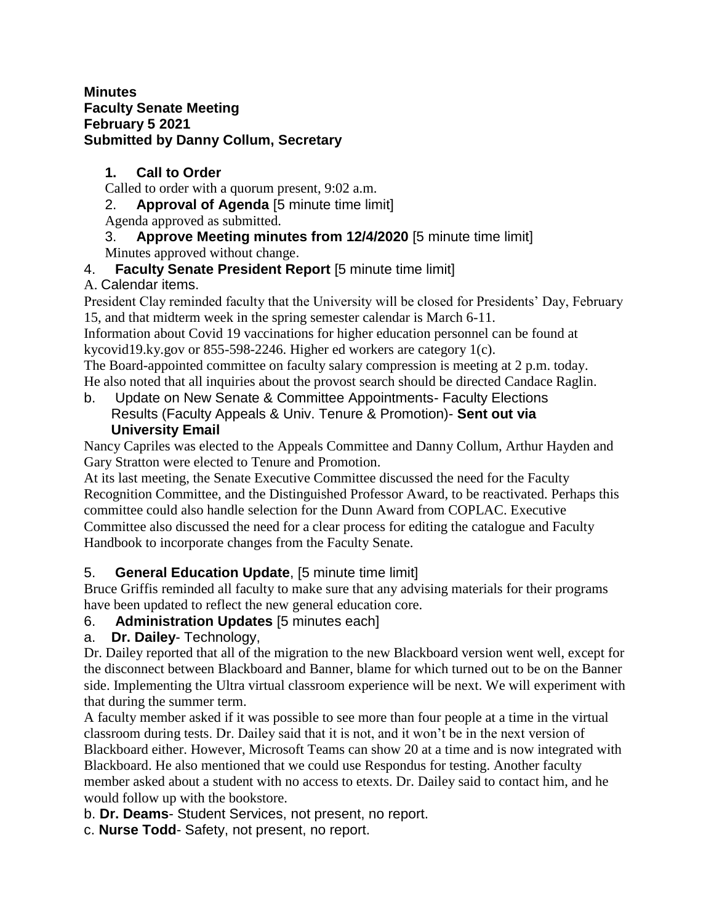### **Minutes Faculty Senate Meeting February 5 2021 Submitted by Danny Collum, Secretary**

# **1. Call to Order**

Called to order with a quorum present, 9:02 a.m.

2. **Approval of Agenda** [5 minute time limit] Agenda approved as submitted.

## 3. **Approve Meeting minutes from 12/4/2020** [5 minute time limit] Minutes approved without change.

# 4. **Faculty Senate President Report** [5 minute time limit]

# A. Calendar items.

President Clay reminded faculty that the University will be closed for Presidents' Day, February 15, and that midterm week in the spring semester calendar is March 6-11.

Information about Covid 19 vaccinations for higher education personnel can be found at kycovid19.ky.gov or 855-598-2246. Higher ed workers are category 1(c).

The Board-appointed committee on faculty salary compression is meeting at 2 p.m. today. He also noted that all inquiries about the provost search should be directed Candace Raglin.

b. Update on New Senate & Committee Appointments- Faculty Elections Results (Faculty Appeals & Univ. Tenure & Promotion)- **Sent out via University Email**

Nancy Capriles was elected to the Appeals Committee and Danny Collum, Arthur Hayden and Gary Stratton were elected to Tenure and Promotion.

At its last meeting, the Senate Executive Committee discussed the need for the Faculty Recognition Committee, and the Distinguished Professor Award, to be reactivated. Perhaps this committee could also handle selection for the Dunn Award from COPLAC. Executive Committee also discussed the need for a clear process for editing the catalogue and Faculty Handbook to incorporate changes from the Faculty Senate.

# 5. **General Education Update**, [5 minute time limit]

Bruce Griffis reminded all faculty to make sure that any advising materials for their programs have been updated to reflect the new general education core.

# 6. **Administration Updates** [5 minutes each]

## a. **Dr. Dailey**- Technology,

Dr. Dailey reported that all of the migration to the new Blackboard version went well, except for the disconnect between Blackboard and Banner, blame for which turned out to be on the Banner side. Implementing the Ultra virtual classroom experience will be next. We will experiment with that during the summer term.

A faculty member asked if it was possible to see more than four people at a time in the virtual classroom during tests. Dr. Dailey said that it is not, and it won't be in the next version of Blackboard either. However, Microsoft Teams can show 20 at a time and is now integrated with Blackboard. He also mentioned that we could use Respondus for testing. Another faculty member asked about a student with no access to etexts. Dr. Dailey said to contact him, and he would follow up with the bookstore.

b. **Dr. Deams**- Student Services, not present, no report.

c. **Nurse Todd**- Safety, not present, no report.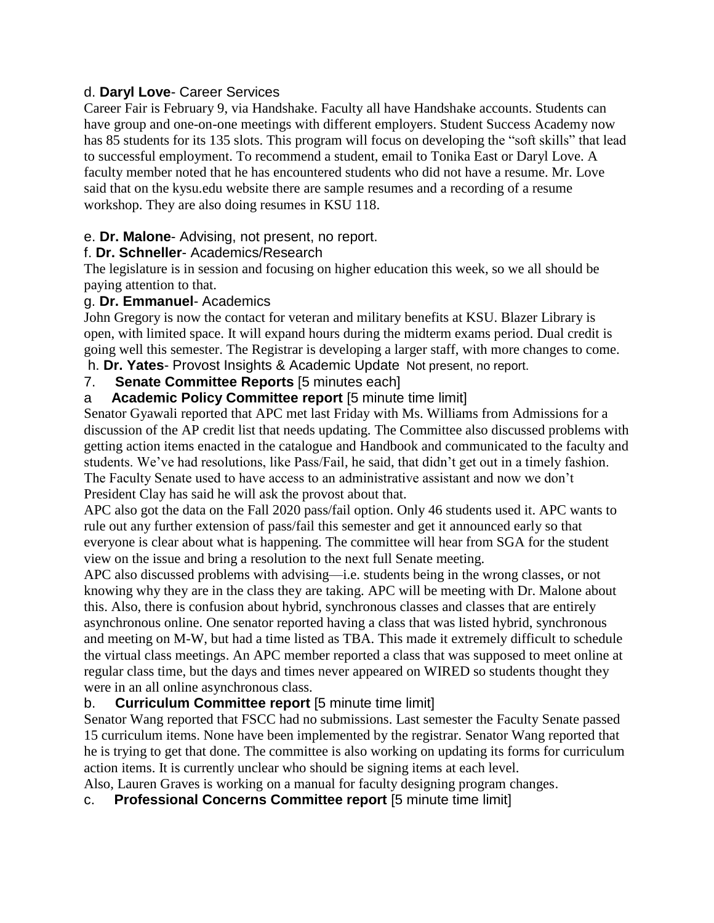### d. **Daryl Love**- Career Services

Career Fair is February 9, via Handshake. Faculty all have Handshake accounts. Students can have group and one-on-one meetings with different employers. Student Success Academy now has 85 students for its 135 slots. This program will focus on developing the "soft skills" that lead to successful employment. To recommend a student, email to Tonika East or Daryl Love. A faculty member noted that he has encountered students who did not have a resume. Mr. Love said that on the kysu.edu website there are sample resumes and a recording of a resume workshop. They are also doing resumes in KSU 118.

### e. **Dr. Malone**- Advising, not present, no report.

### f. **Dr. Schneller**- Academics/Research

The legislature is in session and focusing on higher education this week, so we all should be paying attention to that.

### g. **Dr. Emmanuel**- Academics

John Gregory is now the contact for veteran and military benefits at KSU. Blazer Library is open, with limited space. It will expand hours during the midterm exams period. Dual credit is going well this semester. The Registrar is developing a larger staff, with more changes to come.

## h. **Dr. Yates**- Provost Insights & Academic Update Not present, no report.

## 7. **Senate Committee Reports** [5 minutes each]

### a **Academic Policy Committee report** [5 minute time limit]

Senator Gyawali reported that APC met last Friday with Ms. Williams from Admissions for a discussion of the AP credit list that needs updating. The Committee also discussed problems with getting action items enacted in the catalogue and Handbook and communicated to the faculty and students. We've had resolutions, like Pass/Fail, he said, that didn't get out in a timely fashion. The Faculty Senate used to have access to an administrative assistant and now we don't President Clay has said he will ask the provost about that.

APC also got the data on the Fall 2020 pass/fail option. Only 46 students used it. APC wants to rule out any further extension of pass/fail this semester and get it announced early so that everyone is clear about what is happening. The committee will hear from SGA for the student view on the issue and bring a resolution to the next full Senate meeting.

APC also discussed problems with advising—i.e. students being in the wrong classes, or not knowing why they are in the class they are taking. APC will be meeting with Dr. Malone about this. Also, there is confusion about hybrid, synchronous classes and classes that are entirely asynchronous online. One senator reported having a class that was listed hybrid, synchronous and meeting on M-W, but had a time listed as TBA. This made it extremely difficult to schedule the virtual class meetings. An APC member reported a class that was supposed to meet online at regular class time, but the days and times never appeared on WIRED so students thought they were in an all online asynchronous class.

### b. **Curriculum Committee report** [5 minute time limit]

Senator Wang reported that FSCC had no submissions. Last semester the Faculty Senate passed 15 curriculum items. None have been implemented by the registrar. Senator Wang reported that he is trying to get that done. The committee is also working on updating its forms for curriculum action items. It is currently unclear who should be signing items at each level.

Also, Lauren Graves is working on a manual for faculty designing program changes.

c. **Professional Concerns Committee report** [5 minute time limit]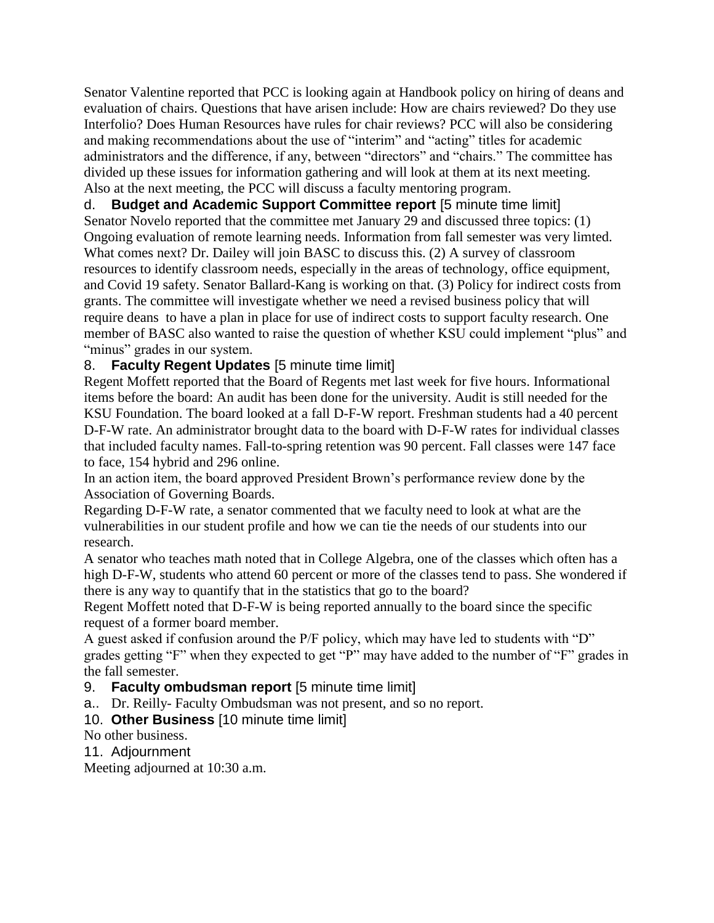Senator Valentine reported that PCC is looking again at Handbook policy on hiring of deans and evaluation of chairs. Questions that have arisen include: How are chairs reviewed? Do they use Interfolio? Does Human Resources have rules for chair reviews? PCC will also be considering and making recommendations about the use of "interim" and "acting" titles for academic administrators and the difference, if any, between "directors" and "chairs." The committee has divided up these issues for information gathering and will look at them at its next meeting. Also at the next meeting, the PCC will discuss a faculty mentoring program.

d. **Budget and Academic Support Committee report** [5 minute time limit] Senator Novelo reported that the committee met January 29 and discussed three topics: (1) Ongoing evaluation of remote learning needs. Information from fall semester was very limted. What comes next? Dr. Dailey will join BASC to discuss this. (2) A survey of classroom resources to identify classroom needs, especially in the areas of technology, office equipment, and Covid 19 safety. Senator Ballard-Kang is working on that. (3) Policy for indirect costs from grants. The committee will investigate whether we need a revised business policy that will require deans to have a plan in place for use of indirect costs to support faculty research. One member of BASC also wanted to raise the question of whether KSU could implement "plus" and "minus" grades in our system.

### 8. **Faculty Regent Updates** [5 minute time limit]

Regent Moffett reported that the Board of Regents met last week for five hours. Informational items before the board: An audit has been done for the university. Audit is still needed for the KSU Foundation. The board looked at a fall D-F-W report. Freshman students had a 40 percent D-F-W rate. An administrator brought data to the board with D-F-W rates for individual classes that included faculty names. Fall-to-spring retention was 90 percent. Fall classes were 147 face to face, 154 hybrid and 296 online.

In an action item, the board approved President Brown's performance review done by the Association of Governing Boards.

Regarding D-F-W rate, a senator commented that we faculty need to look at what are the vulnerabilities in our student profile and how we can tie the needs of our students into our research.

A senator who teaches math noted that in College Algebra, one of the classes which often has a high D-F-W, students who attend 60 percent or more of the classes tend to pass. She wondered if there is any way to quantify that in the statistics that go to the board?

Regent Moffett noted that D-F-W is being reported annually to the board since the specific request of a former board member.

A guest asked if confusion around the P/F policy, which may have led to students with "D" grades getting "F" when they expected to get "P" may have added to the number of "F" grades in the fall semester.

- 9. **Faculty ombudsman report** [5 minute time limit]
- a.. Dr. Reilly- Faculty Ombudsman was not present, and so no report.
- 10. **Other Business** [10 minute time limit]

No other business.

11. Adjournment

Meeting adjourned at 10:30 a.m.